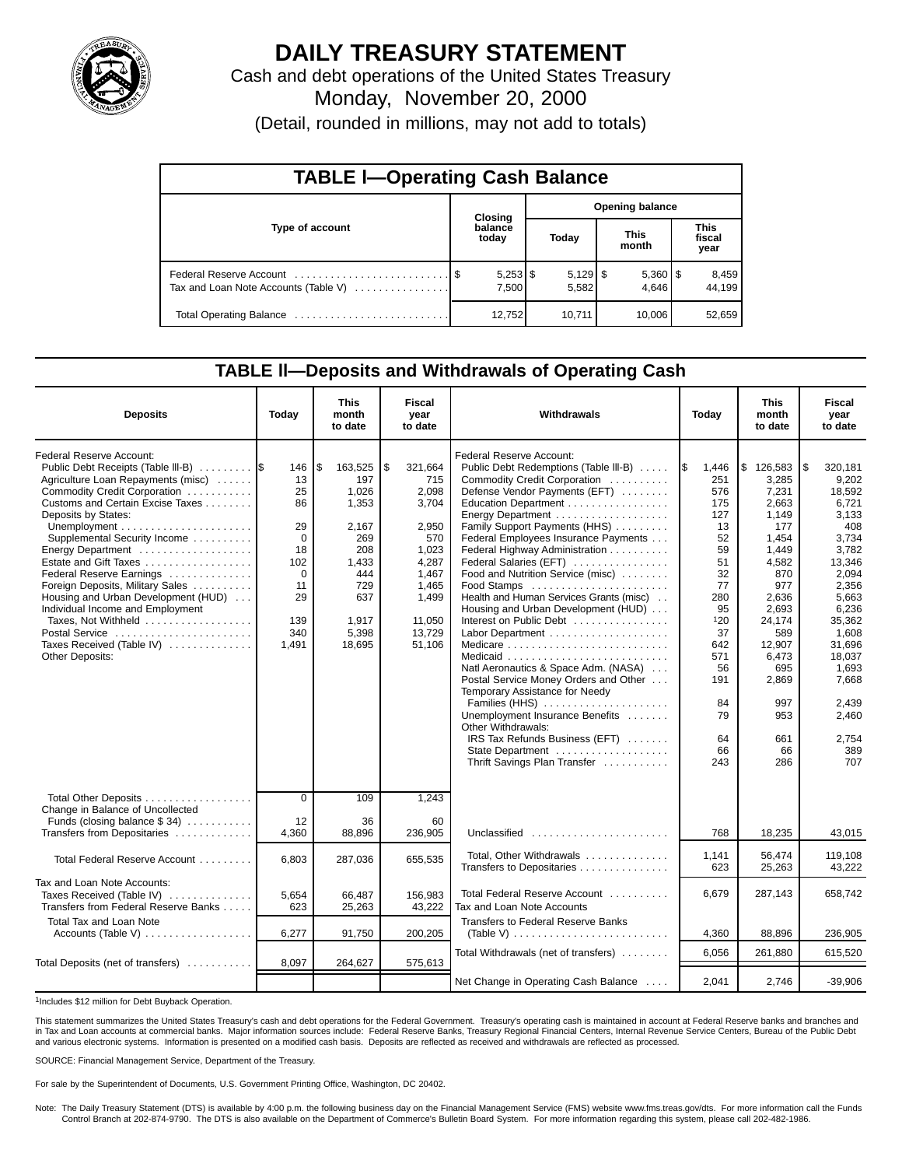

# **DAILY TREASURY STATEMENT**

Cash and debt operations of the United States Treasury Monday, November 20, 2000 (Detail, rounded in millions, may not add to totals)

| <b>TABLE I-Operating Cash Balance</b> |  |                  |                        |                     |  |                       |  |                               |  |  |  |
|---------------------------------------|--|------------------|------------------------|---------------------|--|-----------------------|--|-------------------------------|--|--|--|
|                                       |  | Closing          | <b>Opening balance</b> |                     |  |                       |  |                               |  |  |  |
| Type of account                       |  | balance<br>today |                        | Today               |  | <b>This</b><br>month  |  | <b>This</b><br>fiscal<br>year |  |  |  |
| Tax and Loan Note Accounts (Table V)  |  | 7,500            |                        | $5,129$ \$<br>5,582 |  | $5,360$   \$<br>4.646 |  | 8,459<br>44.199               |  |  |  |
|                                       |  | 12,752           |                        | 10,711              |  | 10,006                |  | 52,659                        |  |  |  |

### **TABLE ll—Deposits and Withdrawals of Operating Cash**

| <b>Deposits</b>                                                                                                                                                                                                                                                                                                                                                                                                                                                                                                   | Today                                                                                               | <b>This</b><br>month<br>to date                                                                                         | <b>Fiscal</b><br>year<br>to date                                                                                                  | Withdrawals                                                                                                                                                                                                                                                                                                                                                                                                                                                                                                                                                                                                                                                                                | Today                                                                                                                                         | <b>This</b><br>month<br>to date                                                                                                                                                   | <b>Fiscal</b><br>year<br>to date                                                                                                                                                                       |
|-------------------------------------------------------------------------------------------------------------------------------------------------------------------------------------------------------------------------------------------------------------------------------------------------------------------------------------------------------------------------------------------------------------------------------------------------------------------------------------------------------------------|-----------------------------------------------------------------------------------------------------|-------------------------------------------------------------------------------------------------------------------------|-----------------------------------------------------------------------------------------------------------------------------------|--------------------------------------------------------------------------------------------------------------------------------------------------------------------------------------------------------------------------------------------------------------------------------------------------------------------------------------------------------------------------------------------------------------------------------------------------------------------------------------------------------------------------------------------------------------------------------------------------------------------------------------------------------------------------------------------|-----------------------------------------------------------------------------------------------------------------------------------------------|-----------------------------------------------------------------------------------------------------------------------------------------------------------------------------------|--------------------------------------------------------------------------------------------------------------------------------------------------------------------------------------------------------|
| Federal Reserve Account:<br>Public Debt Receipts (Table III-B)<br>Agriculture Loan Repayments (misc)<br>Commodity Credit Corporation<br>Customs and Certain Excise Taxes<br>Deposits by States:<br>Supplemental Security Income<br>Energy Department<br>Estate and Gift Taxes<br>Federal Reserve Earnings<br>Foreign Deposits, Military Sales<br>Housing and Urban Development (HUD)<br>Individual Income and Employment<br>Taxes, Not Withheld<br>Postal Service<br>Taxes Received (Table IV)<br>Other Deposits: | 146<br>13<br>25<br>86<br>29<br>$\Omega$<br>18<br>102<br>$\Omega$<br>11<br>29<br>139<br>340<br>1,491 | S.<br>163,525<br>197<br>1,026<br>1,353<br>2,167<br>269<br>208<br>1,433<br>444<br>729<br>637<br>1,917<br>5,398<br>18,695 | \$<br>321,664<br>715<br>2,098<br>3,704<br>2.950<br>570<br>1,023<br>4,287<br>1.467<br>1,465<br>1,499<br>11,050<br>13,729<br>51,106 | <b>Federal Reserve Account:</b><br>Public Debt Redemptions (Table III-B)<br>Commodity Credit Corporation<br>Defense Vendor Payments (EFT)<br>Education Department<br>Energy Department<br>Family Support Payments (HHS)<br>Federal Employees Insurance Payments<br>Federal Highway Administration<br>Federal Salaries (EFT)<br>Food and Nutrition Service (misc)<br>Food Stamps<br>Health and Human Services Grants (misc)<br>Housing and Urban Development (HUD)<br>Interest on Public Debt<br>Natl Aeronautics & Space Adm. (NASA)<br>Postal Service Money Orders and Other<br>Temporary Assistance for Needy<br>Families (HHS)<br>Unemployment Insurance Benefits<br>Other Withdrawals: | 1\$<br>1,446<br>251<br>576<br>175<br>127<br>13<br>52<br>59<br>51<br>32<br>77<br>280<br>95<br>120<br>37<br>642<br>571<br>56<br>191<br>84<br>79 | \$126,583<br>3,285<br>7,231<br>2.663<br>1,149<br>177<br>1,454<br>1,449<br>4,582<br>870<br>977<br>2.636<br>2.693<br>24,174<br>589<br>12,907<br>6,473<br>695<br>2,869<br>997<br>953 | 320,181<br>l \$<br>9,202<br>18,592<br>6.721<br>3,133<br>408<br>3,734<br>3,782<br>13,346<br>2.094<br>2.356<br>5.663<br>6,236<br>35,362<br>1,608<br>31,696<br>18,037<br>1,693<br>7,668<br>2,439<br>2,460 |
|                                                                                                                                                                                                                                                                                                                                                                                                                                                                                                                   |                                                                                                     |                                                                                                                         |                                                                                                                                   | IRS Tax Refunds Business (EFT)<br>State Department<br>Thrift Savings Plan Transfer                                                                                                                                                                                                                                                                                                                                                                                                                                                                                                                                                                                                         | 64<br>66<br>243                                                                                                                               | 661<br>66<br>286                                                                                                                                                                  | 2,754<br>389<br>707                                                                                                                                                                                    |
| Total Other Deposits                                                                                                                                                                                                                                                                                                                                                                                                                                                                                              | $\overline{0}$                                                                                      | 109                                                                                                                     | 1,243                                                                                                                             |                                                                                                                                                                                                                                                                                                                                                                                                                                                                                                                                                                                                                                                                                            |                                                                                                                                               |                                                                                                                                                                                   |                                                                                                                                                                                                        |
| Change in Balance of Uncollected<br>Funds (closing balance $$34)$<br>Transfers from Depositaries                                                                                                                                                                                                                                                                                                                                                                                                                  | 12<br>4,360                                                                                         | 36<br>88,896                                                                                                            | 60<br>236,905                                                                                                                     | Unclassified $\ldots \ldots \ldots \ldots \ldots \ldots$                                                                                                                                                                                                                                                                                                                                                                                                                                                                                                                                                                                                                                   | 768                                                                                                                                           | 18,235                                                                                                                                                                            | 43.015                                                                                                                                                                                                 |
| Total Federal Reserve Account                                                                                                                                                                                                                                                                                                                                                                                                                                                                                     | 6,803                                                                                               | 287,036                                                                                                                 | 655,535                                                                                                                           | Total, Other Withdrawals<br>Transfers to Depositaries                                                                                                                                                                                                                                                                                                                                                                                                                                                                                                                                                                                                                                      | 1,141<br>623                                                                                                                                  | 56,474<br>25,263                                                                                                                                                                  | 119,108<br>43,222                                                                                                                                                                                      |
| Tax and Loan Note Accounts:<br>Taxes Received (Table IV)<br>Transfers from Federal Reserve Banks                                                                                                                                                                                                                                                                                                                                                                                                                  | 5,654<br>623                                                                                        | 66,487<br>25,263                                                                                                        | 156,983<br>43,222                                                                                                                 | Total Federal Reserve Account<br>Tax and Loan Note Accounts                                                                                                                                                                                                                                                                                                                                                                                                                                                                                                                                                                                                                                | 6,679                                                                                                                                         | 287,143                                                                                                                                                                           | 658.742                                                                                                                                                                                                |
| <b>Total Tax and Loan Note</b><br>Accounts (Table V) $\dots \dots \dots \dots \dots$                                                                                                                                                                                                                                                                                                                                                                                                                              | 6,277                                                                                               | 91,750                                                                                                                  | 200,205                                                                                                                           | <b>Transfers to Federal Reserve Banks</b><br>(Table V) $\ldots \ldots \ldots \ldots \ldots \ldots \ldots \ldots$                                                                                                                                                                                                                                                                                                                                                                                                                                                                                                                                                                           | 4,360                                                                                                                                         | 88,896                                                                                                                                                                            | 236,905                                                                                                                                                                                                |
| Total Deposits (net of transfers)                                                                                                                                                                                                                                                                                                                                                                                                                                                                                 | 8,097                                                                                               | 264,627                                                                                                                 | 575,613                                                                                                                           | Total Withdrawals (net of transfers)                                                                                                                                                                                                                                                                                                                                                                                                                                                                                                                                                                                                                                                       | 6.056                                                                                                                                         | 261,880                                                                                                                                                                           | 615,520                                                                                                                                                                                                |
|                                                                                                                                                                                                                                                                                                                                                                                                                                                                                                                   |                                                                                                     |                                                                                                                         |                                                                                                                                   | Net Change in Operating Cash Balance                                                                                                                                                                                                                                                                                                                                                                                                                                                                                                                                                                                                                                                       | 2,041                                                                                                                                         | 2.746                                                                                                                                                                             | $-39,906$                                                                                                                                                                                              |

1Includes \$12 million for Debt Buyback Operation.

This statement summarizes the United States Treasury's cash and debt operations for the Federal Government. Treasury's operating cash is maintained in account at Federal Reserve banks and branches and<br>in Tax and Loan accou and various electronic systems. Information is presented on a modified cash basis. Deposits are reflected as received and withdrawals are reflected as processed.

SOURCE: Financial Management Service, Department of the Treasury.

For sale by the Superintendent of Documents, U.S. Government Printing Office, Washington, DC 20402.

Note: The Daily Treasury Statement (DTS) is available by 4:00 p.m. the following business day on the Financial Management Service (FMS) website www.fms.treas.gov/dts. For more information call the Funds<br>Control Branch at 2